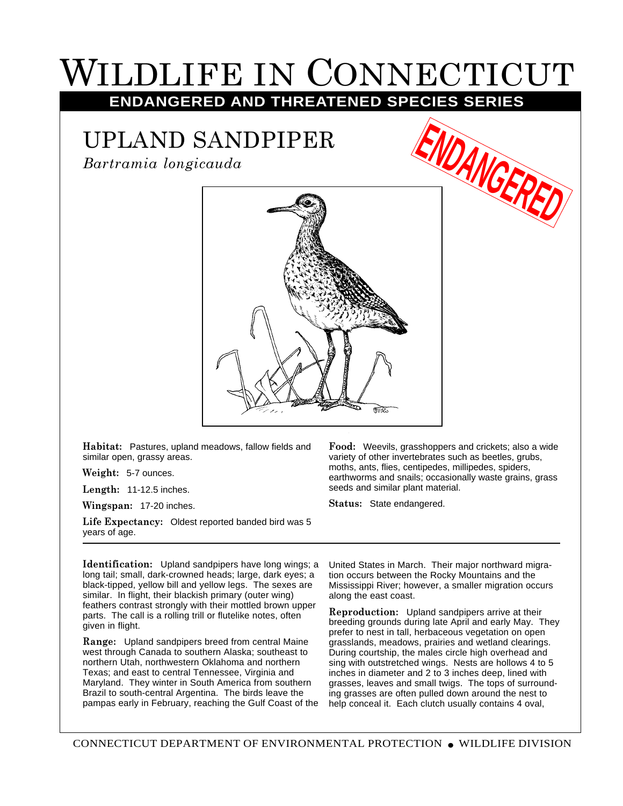## LDLIFE IN CONNECTICUT

## **ENDANGERED AND THREATENED SPECIES SERIES**

## UPLAND SANDPIPER

*Bartramia longicauda*



**Habitat:** Pastures, upland meadows, fallow fields and similar open, grassy areas.

**Weight:** 5-7 ounces.

**Length:** 11-12.5 inches.

**Wingspan:** 17-20 inches.

**Life Expectancy:** Oldest reported banded bird was 5 years of age.

moths, ants, flies, centipedes, millipedes, spiders, earthworms and snails; occasionally waste grains, grass seeds and similar plant material. **Status:** State endangered.

**Food:** Weevils, grasshoppers and crickets; also a wide variety of other invertebrates such as beetles, grubs,

**Identification:** Upland sandpipers have long wings; a long tail; small, dark-crowned heads; large, dark eyes; a black-tipped, yellow bill and yellow legs. The sexes are similar. In flight, their blackish primary (outer wing) feathers contrast strongly with their mottled brown upper parts. The call is a rolling trill or flutelike notes, often given in flight.

**Range:** Upland sandpipers breed from central Maine west through Canada to southern Alaska; southeast to northern Utah, northwestern Oklahoma and northern Texas; and east to central Tennessee, Virginia and Maryland. They winter in South America from southern Brazil to south-central Argentina. The birds leave the pampas early in February, reaching the Gulf Coast of the

United States in March. Their major northward migration occurs between the Rocky Mountains and the Mississippi River; however, a smaller migration occurs along the east coast.

**Reproduction:** Upland sandpipers arrive at their breeding grounds during late April and early May. They prefer to nest in tall, herbaceous vegetation on open grasslands, meadows, prairies and wetland clearings. During courtship, the males circle high overhead and sing with outstretched wings. Nests are hollows 4 to 5 inches in diameter and 2 to 3 inches deep, lined with grasses, leaves and small twigs. The tops of surrounding grasses are often pulled down around the nest to help conceal it. Each clutch usually contains 4 oval,